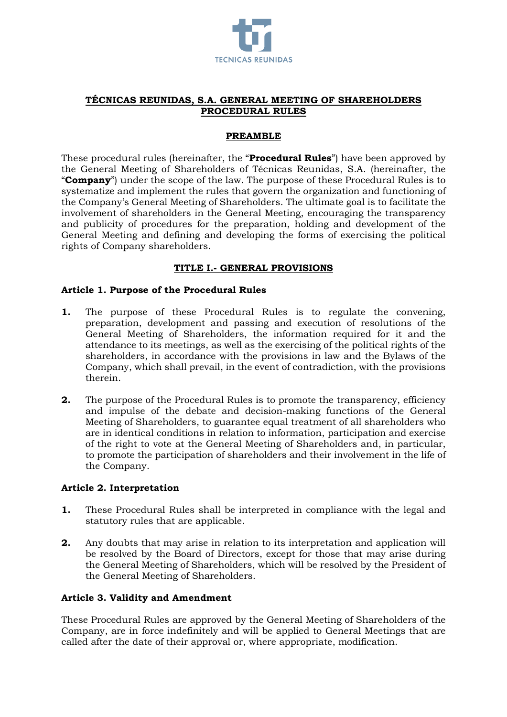

## **TÉCNICAS REUNIDAS, S.A. GENERAL MEETING OF SHAREHOLDERS PROCEDURAL RULES**

#### **PREAMBLE**

These procedural rules (hereinafter, the "**Procedural Rules**") have been approved by the General Meeting of Shareholders of Técnicas Reunidas, S.A. (hereinafter, the "**Company**") under the scope of the law. The purpose of these Procedural Rules is to systematize and implement the rules that govern the organization and functioning of the Company's General Meeting of Shareholders. The ultimate goal is to facilitate the involvement of shareholders in the General Meeting, encouraging the transparency and publicity of procedures for the preparation, holding and development of the General Meeting and defining and developing the forms of exercising the political rights of Company shareholders.

### **TITLE I.- GENERAL PROVISIONS**

### **Article 1. Purpose of the Procedural Rules**

- **1.** The purpose of these Procedural Rules is to regulate the convening, preparation, development and passing and execution of resolutions of the General Meeting of Shareholders, the information required for it and the attendance to its meetings, as well as the exercising of the political rights of the shareholders, in accordance with the provisions in law and the Bylaws of the Company, which shall prevail, in the event of contradiction, with the provisions therein.
- **2.** The purpose of the Procedural Rules is to promote the transparency, efficiency and impulse of the debate and decision-making functions of the General Meeting of Shareholders, to guarantee equal treatment of all shareholders who are in identical conditions in relation to information, participation and exercise of the right to vote at the General Meeting of Shareholders and, in particular, to promote the participation of shareholders and their involvement in the life of the Company.

#### **Article 2. Interpretation**

- **1.** These Procedural Rules shall be interpreted in compliance with the legal and statutory rules that are applicable.
- **2.** Any doubts that may arise in relation to its interpretation and application will be resolved by the Board of Directors, except for those that may arise during the General Meeting of Shareholders, which will be resolved by the President of the General Meeting of Shareholders.

### **Article 3. Validity and Amendment**

These Procedural Rules are approved by the General Meeting of Shareholders of the Company, are in force indefinitely and will be applied to General Meetings that are called after the date of their approval or, where appropriate, modification.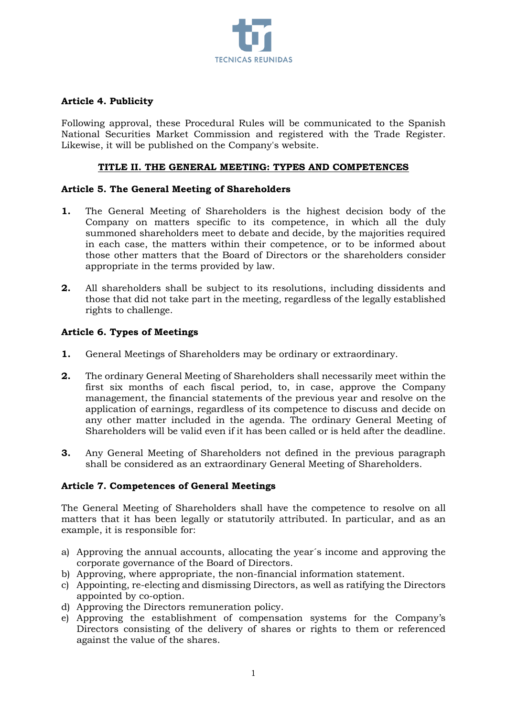

## **Article 4. Publicity**

Following approval, these Procedural Rules will be communicated to the Spanish National Securities Market Commission and registered with the Trade Register. Likewise, it will be published on the Company's website.

### **TITLE II. THE GENERAL MEETING: TYPES AND COMPETENCES**

### **Article 5. The General Meeting of Shareholders**

- **1.** The General Meeting of Shareholders is the highest decision body of the Company on matters specific to its competence, in which all the duly summoned shareholders meet to debate and decide, by the majorities required in each case, the matters within their competence, or to be informed about those other matters that the Board of Directors or the shareholders consider appropriate in the terms provided by law.
- **2.** All shareholders shall be subject to its resolutions, including dissidents and those that did not take part in the meeting, regardless of the legally established rights to challenge.

## **Article 6. Types of Meetings**

- **1.** General Meetings of Shareholders may be ordinary or extraordinary.
- **2.** The ordinary General Meeting of Shareholders shall necessarily meet within the first six months of each fiscal period, to, in case, approve the Company management, the financial statements of the previous year and resolve on the application of earnings, regardless of its competence to discuss and decide on any other matter included in the agenda. The ordinary General Meeting of Shareholders will be valid even if it has been called or is held after the deadline.
- **3.** Any General Meeting of Shareholders not defined in the previous paragraph shall be considered as an extraordinary General Meeting of Shareholders.

### **Article 7. Competences of General Meetings**

The General Meeting of Shareholders shall have the competence to resolve on all matters that it has been legally or statutorily attributed. In particular, and as an example, it is responsible for:

- a) Approving the annual accounts, allocating the year´s income and approving the corporate governance of the Board of Directors.
- b) Approving, where appropriate, the non-financial information statement.
- c) Appointing, re-electing and dismissing Directors, as well as ratifying the Directors appointed by co-option.
- d) Approving the Directors remuneration policy.
- e) Approving the establishment of compensation systems for the Company's Directors consisting of the delivery of shares or rights to them or referenced against the value of the shares.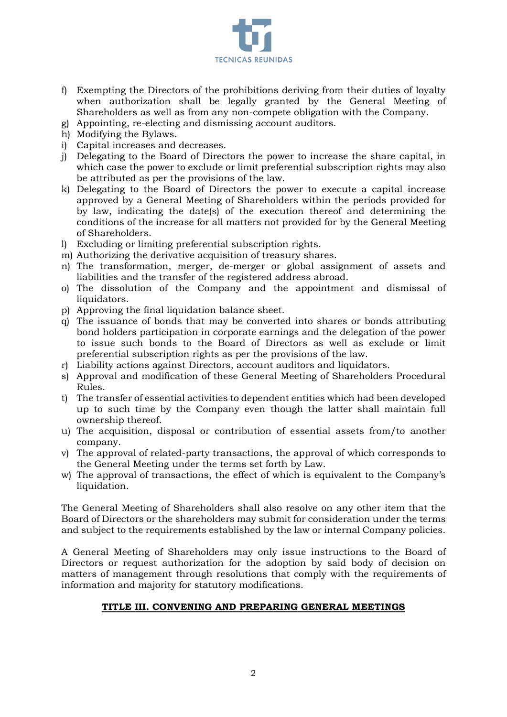

- f) Exempting the Directors of the prohibitions deriving from their duties of loyalty when authorization shall be legally granted by the General Meeting of Shareholders as well as from any non-compete obligation with the Company.
- g) Appointing, re-electing and dismissing account auditors.
- h) Modifying the Bylaws.
- i) Capital increases and decreases.
- j) Delegating to the Board of Directors the power to increase the share capital, in which case the power to exclude or limit preferential subscription rights may also be attributed as per the provisions of the law.
- k) Delegating to the Board of Directors the power to execute a capital increase approved by a General Meeting of Shareholders within the periods provided for by law, indicating the date(s) of the execution thereof and determining the conditions of the increase for all matters not provided for by the General Meeting of Shareholders.
- l) Excluding or limiting preferential subscription rights.
- m) Authorizing the derivative acquisition of treasury shares.
- n) The transformation, merger, de-merger or global assignment of assets and liabilities and the transfer of the registered address abroad.
- o) The dissolution of the Company and the appointment and dismissal of liquidators.
- p) Approving the final liquidation balance sheet.
- q) The issuance of bonds that may be converted into shares or bonds attributing bond holders participation in corporate earnings and the delegation of the power to issue such bonds to the Board of Directors as well as exclude or limit preferential subscription rights as per the provisions of the law.
- r) Liability actions against Directors, account auditors and liquidators.
- s) Approval and modification of these General Meeting of Shareholders Procedural Rules.
- t) The transfer of essential activities to dependent entities which had been developed up to such time by the Company even though the latter shall maintain full ownership thereof.
- u) The acquisition, disposal or contribution of essential assets from/to another company.
- v) The approval of related-party transactions, the approval of which corresponds to the General Meeting under the terms set forth by Law.
- w) The approval of transactions, the effect of which is equivalent to the Company's liquidation.

The General Meeting of Shareholders shall also resolve on any other item that the Board of Directors or the shareholders may submit for consideration under the terms and subject to the requirements established by the law or internal Company policies.

A General Meeting of Shareholders may only issue instructions to the Board of Directors or request authorization for the adoption by said body of decision on matters of management through resolutions that comply with the requirements of information and majority for statutory modifications.

# **TITLE III. CONVENING AND PREPARING GENERAL MEETINGS**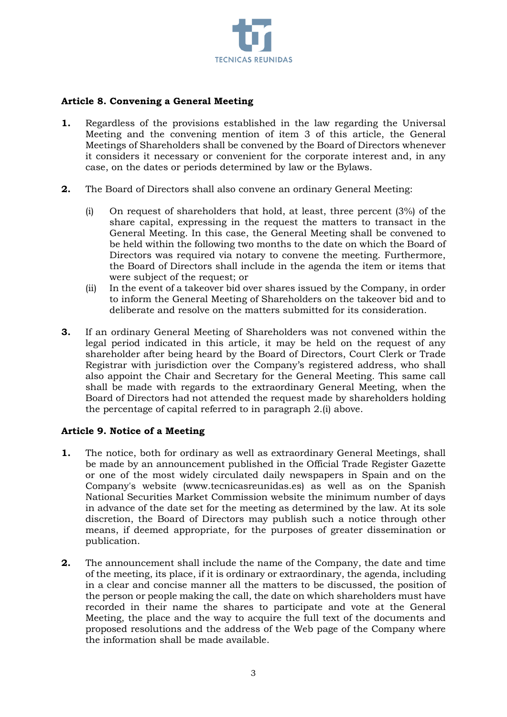

## **Article 8. Convening a General Meeting**

- **1.** Regardless of the provisions established in the law regarding the Universal Meeting and the convening mention of item 3 of this article, the General Meetings of Shareholders shall be convened by the Board of Directors whenever it considers it necessary or convenient for the corporate interest and, in any case, on the dates or periods determined by law or the Bylaws.
- **2.** The Board of Directors shall also convene an ordinary General Meeting:
	- (i) On request of shareholders that hold, at least, three percent (3%) of the share capital, expressing in the request the matters to transact in the General Meeting. In this case, the General Meeting shall be convened to be held within the following two months to the date on which the Board of Directors was required via notary to convene the meeting. Furthermore, the Board of Directors shall include in the agenda the item or items that were subject of the request; or
	- (ii) In the event of a takeover bid over shares issued by the Company, in order to inform the General Meeting of Shareholders on the takeover bid and to deliberate and resolve on the matters submitted for its consideration.
- **3.** If an ordinary General Meeting of Shareholders was not convened within the legal period indicated in this article, it may be held on the request of any shareholder after being heard by the Board of Directors, Court Clerk or Trade Registrar with jurisdiction over the Company's registered address, who shall also appoint the Chair and Secretary for the General Meeting. This same call shall be made with regards to the extraordinary General Meeting, when the Board of Directors had not attended the request made by shareholders holding the percentage of capital referred to in paragraph 2.(i) above.

### **Article 9. Notice of a Meeting**

- **1.** The notice, both for ordinary as well as extraordinary General Meetings, shall be made by an announcement published in the Official Trade Register Gazette or one of the most widely circulated daily newspapers in Spain and on the Company's website (www.tecnicasreunidas.es) as well as on the Spanish National Securities Market Commission website the minimum number of days in advance of the date set for the meeting as determined by the law. At its sole discretion, the Board of Directors may publish such a notice through other means, if deemed appropriate, for the purposes of greater dissemination or publication.
- **2.** The announcement shall include the name of the Company, the date and time of the meeting, its place, if it is ordinary or extraordinary, the agenda, including in a clear and concise manner all the matters to be discussed, the position of the person or people making the call, the date on which shareholders must have recorded in their name the shares to participate and vote at the General Meeting, the place and the way to acquire the full text of the documents and proposed resolutions and the address of the Web page of the Company where the information shall be made available.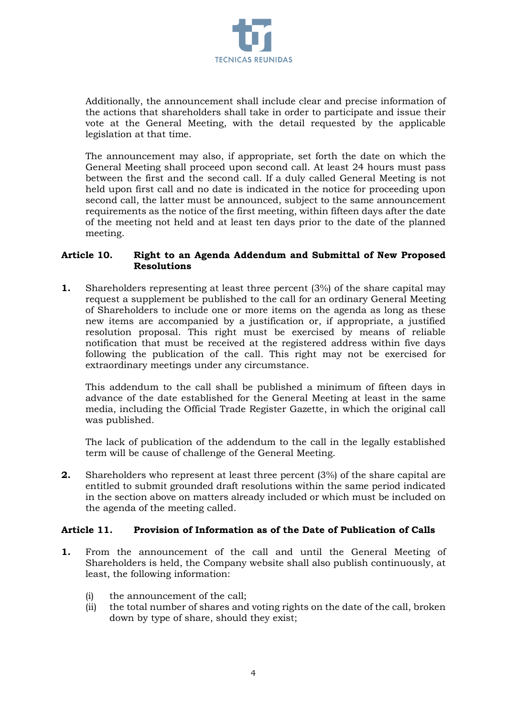

Additionally, the announcement shall include clear and precise information of the actions that shareholders shall take in order to participate and issue their vote at the General Meeting, with the detail requested by the applicable legislation at that time.

The announcement may also, if appropriate, set forth the date on which the General Meeting shall proceed upon second call. At least 24 hours must pass between the first and the second call. If a duly called General Meeting is not held upon first call and no date is indicated in the notice for proceeding upon second call, the latter must be announced, subject to the same announcement requirements as the notice of the first meeting, within fifteen days after the date of the meeting not held and at least ten days prior to the date of the planned meeting.

#### **Article 10. Right to an Agenda Addendum and Submittal of New Proposed Resolutions**

**1.** Shareholders representing at least three percent (3%) of the share capital may request a supplement be published to the call for an ordinary General Meeting of Shareholders to include one or more items on the agenda as long as these new items are accompanied by a justification or, if appropriate, a justified resolution proposal. This right must be exercised by means of reliable notification that must be received at the registered address within five days following the publication of the call. This right may not be exercised for extraordinary meetings under any circumstance.

This addendum to the call shall be published a minimum of fifteen days in advance of the date established for the General Meeting at least in the same media, including the Official Trade Register Gazette, in which the original call was published.

The lack of publication of the addendum to the call in the legally established term will be cause of challenge of the General Meeting.

**2.** Shareholders who represent at least three percent (3%) of the share capital are entitled to submit grounded draft resolutions within the same period indicated in the section above on matters already included or which must be included on the agenda of the meeting called.

### **Article 11. Provision of Information as of the Date of Publication of Calls**

- **1.** From the announcement of the call and until the General Meeting of Shareholders is held, the Company website shall also publish continuously, at least, the following information:
	- (i) the announcement of the call;
	- (ii) the total number of shares and voting rights on the date of the call, broken down by type of share, should they exist;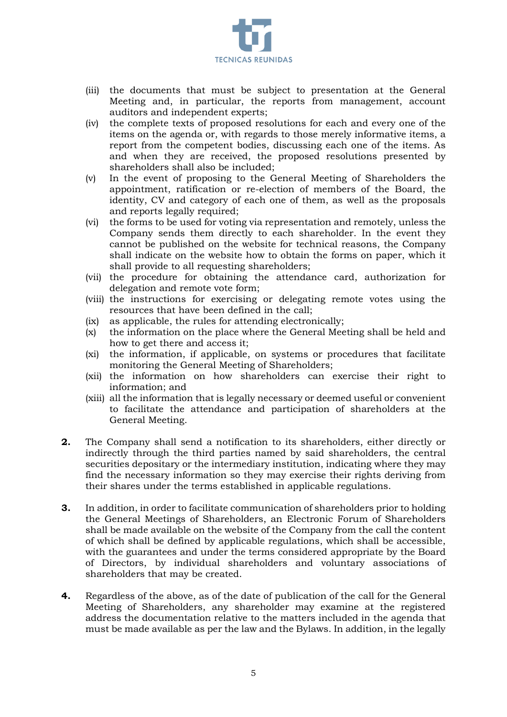

- (iii) the documents that must be subject to presentation at the General Meeting and, in particular, the reports from management, account auditors and independent experts;
- (iv) the complete texts of proposed resolutions for each and every one of the items on the agenda or, with regards to those merely informative items, a report from the competent bodies, discussing each one of the items. As and when they are received, the proposed resolutions presented by shareholders shall also be included;
- (v) In the event of proposing to the General Meeting of Shareholders the appointment, ratification or re-election of members of the Board, the identity, CV and category of each one of them, as well as the proposals and reports legally required;
- (vi) the forms to be used for voting via representation and remotely, unless the Company sends them directly to each shareholder. In the event they cannot be published on the website for technical reasons, the Company shall indicate on the website how to obtain the forms on paper, which it shall provide to all requesting shareholders;
- (vii) the procedure for obtaining the attendance card, authorization for delegation and remote vote form;
- (viii) the instructions for exercising or delegating remote votes using the resources that have been defined in the call;
- (ix) as applicable, the rules for attending electronically;
- (x) the information on the place where the General Meeting shall be held and how to get there and access it;
- (xi) the information, if applicable, on systems or procedures that facilitate monitoring the General Meeting of Shareholders;
- (xii) the information on how shareholders can exercise their right to information; and
- (xiii) all the information that is legally necessary or deemed useful or convenient to facilitate the attendance and participation of shareholders at the General Meeting.
- **2.** The Company shall send a notification to its shareholders, either directly or indirectly through the third parties named by said shareholders, the central securities depositary or the intermediary institution, indicating where they may find the necessary information so they may exercise their rights deriving from their shares under the terms established in applicable regulations.
- **3.** In addition, in order to facilitate communication of shareholders prior to holding the General Meetings of Shareholders, an Electronic Forum of Shareholders shall be made available on the website of the Company from the call the content of which shall be defined by applicable regulations, which shall be accessible, with the guarantees and under the terms considered appropriate by the Board of Directors, by individual shareholders and voluntary associations of shareholders that may be created.
- **4.** Regardless of the above, as of the date of publication of the call for the General Meeting of Shareholders, any shareholder may examine at the registered address the documentation relative to the matters included in the agenda that must be made available as per the law and the Bylaws. In addition, in the legally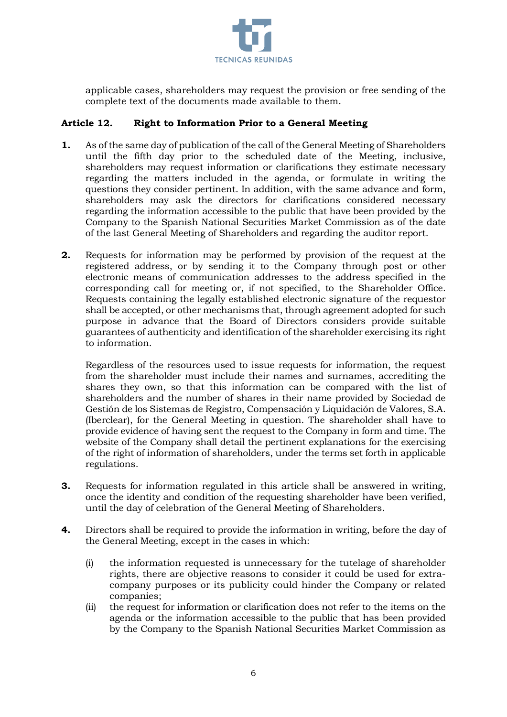

applicable cases, shareholders may request the provision or free sending of the complete text of the documents made available to them.

## **Article 12. Right to Information Prior to a General Meeting**

- **1.** As of the same day of publication of the call of the General Meeting of Shareholders until the fifth day prior to the scheduled date of the Meeting, inclusive, shareholders may request information or clarifications they estimate necessary regarding the matters included in the agenda, or formulate in writing the questions they consider pertinent. In addition, with the same advance and form, shareholders may ask the directors for clarifications considered necessary regarding the information accessible to the public that have been provided by the Company to the Spanish National Securities Market Commission as of the date of the last General Meeting of Shareholders and regarding the auditor report.
- **2.** Requests for information may be performed by provision of the request at the registered address, or by sending it to the Company through post or other electronic means of communication addresses to the address specified in the corresponding call for meeting or, if not specified, to the Shareholder Office. Requests containing the legally established electronic signature of the requestor shall be accepted, or other mechanisms that, through agreement adopted for such purpose in advance that the Board of Directors considers provide suitable guarantees of authenticity and identification of the shareholder exercising its right to information.

Regardless of the resources used to issue requests for information, the request from the shareholder must include their names and surnames, accrediting the shares they own, so that this information can be compared with the list of shareholders and the number of shares in their name provided by Sociedad de Gestión de los Sistemas de Registro, Compensación y Liquidación de Valores, S.A. (Iberclear), for the General Meeting in question. The shareholder shall have to provide evidence of having sent the request to the Company in form and time. The website of the Company shall detail the pertinent explanations for the exercising of the right of information of shareholders, under the terms set forth in applicable regulations.

- **3.** Requests for information regulated in this article shall be answered in writing, once the identity and condition of the requesting shareholder have been verified, until the day of celebration of the General Meeting of Shareholders.
- **4.** Directors shall be required to provide the information in writing, before the day of the General Meeting, except in the cases in which:
	- (i) the information requested is unnecessary for the tutelage of shareholder rights, there are objective reasons to consider it could be used for extracompany purposes or its publicity could hinder the Company or related companies;
	- (ii) the request for information or clarification does not refer to the items on the agenda or the information accessible to the public that has been provided by the Company to the Spanish National Securities Market Commission as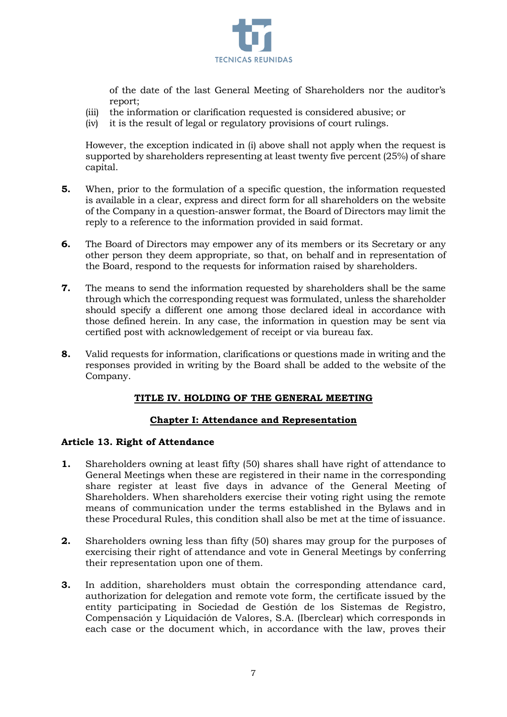

of the date of the last General Meeting of Shareholders nor the auditor's report;

- (iii) the information or clarification requested is considered abusive; or
- (iv) it is the result of legal or regulatory provisions of court rulings.

However, the exception indicated in (i) above shall not apply when the request is supported by shareholders representing at least twenty five percent (25%) of share capital.

- **5.** When, prior to the formulation of a specific question, the information requested is available in a clear, express and direct form for all shareholders on the website of the Company in a question-answer format, the Board of Directors may limit the reply to a reference to the information provided in said format.
- **6.** The Board of Directors may empower any of its members or its Secretary or any other person they deem appropriate, so that, on behalf and in representation of the Board, respond to the requests for information raised by shareholders.
- **7.** The means to send the information requested by shareholders shall be the same through which the corresponding request was formulated, unless the shareholder should specify a different one among those declared ideal in accordance with those defined herein. In any case, the information in question may be sent via certified post with acknowledgement of receipt or via bureau fax.
- **8.** Valid requests for information, clarifications or questions made in writing and the responses provided in writing by the Board shall be added to the website of the Company.

### **TITLE IV. HOLDING OF THE GENERAL MEETING**

### **Chapter I: Attendance and Representation**

### **Article 13. Right of Attendance**

- **1.** Shareholders owning at least fifty (50) shares shall have right of attendance to General Meetings when these are registered in their name in the corresponding share register at least five days in advance of the General Meeting of Shareholders. When shareholders exercise their voting right using the remote means of communication under the terms established in the Bylaws and in these Procedural Rules, this condition shall also be met at the time of issuance.
- **2.** Shareholders owning less than fifty (50) shares may group for the purposes of exercising their right of attendance and vote in General Meetings by conferring their representation upon one of them.
- **3.** In addition, shareholders must obtain the corresponding attendance card, authorization for delegation and remote vote form, the certificate issued by the entity participating in Sociedad de Gestión de los Sistemas de Registro, Compensación y Liquidación de Valores, S.A. (Iberclear) which corresponds in each case or the document which, in accordance with the law, proves their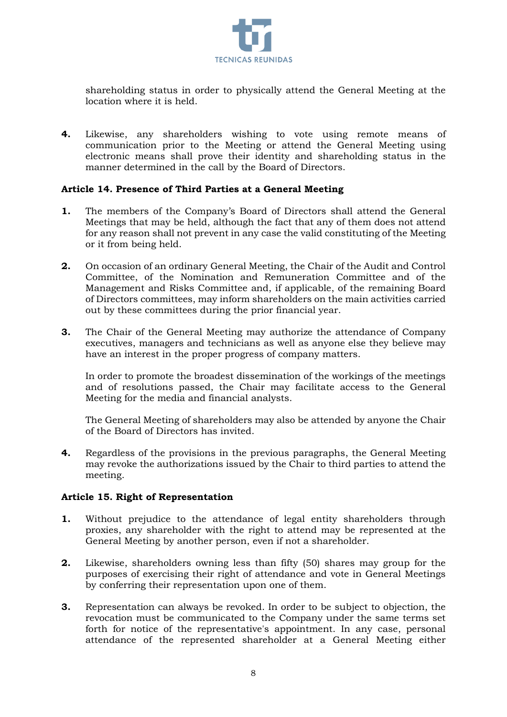

shareholding status in order to physically attend the General Meeting at the location where it is held.

**4.** Likewise, any shareholders wishing to vote using remote means of communication prior to the Meeting or attend the General Meeting using electronic means shall prove their identity and shareholding status in the manner determined in the call by the Board of Directors.

### **Article 14. Presence of Third Parties at a General Meeting**

- **1.** The members of the Company's Board of Directors shall attend the General Meetings that may be held, although the fact that any of them does not attend for any reason shall not prevent in any case the valid constituting of the Meeting or it from being held.
- **2.** On occasion of an ordinary General Meeting, the Chair of the Audit and Control Committee, of the Nomination and Remuneration Committee and of the Management and Risks Committee and, if applicable, of the remaining Board of Directors committees, may inform shareholders on the main activities carried out by these committees during the prior financial year.
- **3.** The Chair of the General Meeting may authorize the attendance of Company executives, managers and technicians as well as anyone else they believe may have an interest in the proper progress of company matters.

In order to promote the broadest dissemination of the workings of the meetings and of resolutions passed, the Chair may facilitate access to the General Meeting for the media and financial analysts.

The General Meeting of shareholders may also be attended by anyone the Chair of the Board of Directors has invited.

**4.** Regardless of the provisions in the previous paragraphs, the General Meeting may revoke the authorizations issued by the Chair to third parties to attend the meeting.

#### **Article 15. Right of Representation**

- **1.** Without prejudice to the attendance of legal entity shareholders through proxies, any shareholder with the right to attend may be represented at the General Meeting by another person, even if not a shareholder.
- **2.** Likewise, shareholders owning less than fifty (50) shares may group for the purposes of exercising their right of attendance and vote in General Meetings by conferring their representation upon one of them.
- **3.** Representation can always be revoked. In order to be subject to objection, the revocation must be communicated to the Company under the same terms set forth for notice of the representative's appointment. In any case, personal attendance of the represented shareholder at a General Meeting either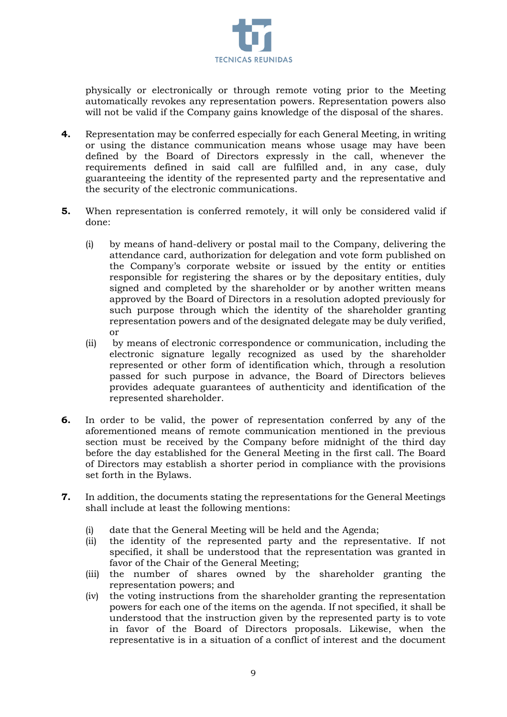

physically or electronically or through remote voting prior to the Meeting automatically revokes any representation powers. Representation powers also will not be valid if the Company gains knowledge of the disposal of the shares.

- **4.** Representation may be conferred especially for each General Meeting, in writing or using the distance communication means whose usage may have been defined by the Board of Directors expressly in the call, whenever the requirements defined in said call are fulfilled and, in any case, duly guaranteeing the identity of the represented party and the representative and the security of the electronic communications.
- **5.** When representation is conferred remotely, it will only be considered valid if done:
	- (i) by means of hand-delivery or postal mail to the Company, delivering the attendance card, authorization for delegation and vote form published on the Company's corporate website or issued by the entity or entities responsible for registering the shares or by the depositary entities, duly signed and completed by the shareholder or by another written means approved by the Board of Directors in a resolution adopted previously for such purpose through which the identity of the shareholder granting representation powers and of the designated delegate may be duly verified, or
	- (ii) by means of electronic correspondence or communication, including the electronic signature legally recognized as used by the shareholder represented or other form of identification which, through a resolution passed for such purpose in advance, the Board of Directors believes provides adequate guarantees of authenticity and identification of the represented shareholder.
- **6.** In order to be valid, the power of representation conferred by any of the aforementioned means of remote communication mentioned in the previous section must be received by the Company before midnight of the third day before the day established for the General Meeting in the first call. The Board of Directors may establish a shorter period in compliance with the provisions set forth in the Bylaws.
- **7.** In addition, the documents stating the representations for the General Meetings shall include at least the following mentions:
	- (i) date that the General Meeting will be held and the Agenda;
	- (ii) the identity of the represented party and the representative. If not specified, it shall be understood that the representation was granted in favor of the Chair of the General Meeting;
	- (iii) the number of shares owned by the shareholder granting the representation powers; and
	- (iv) the voting instructions from the shareholder granting the representation powers for each one of the items on the agenda. If not specified, it shall be understood that the instruction given by the represented party is to vote in favor of the Board of Directors proposals. Likewise, when the representative is in a situation of a conflict of interest and the document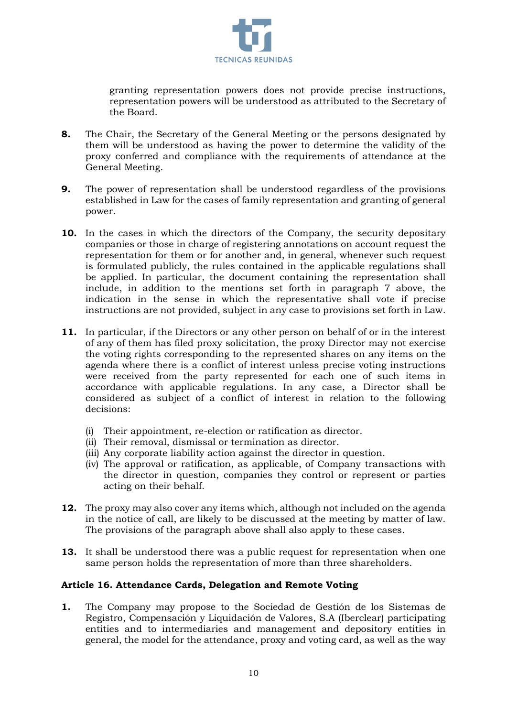

granting representation powers does not provide precise instructions, representation powers will be understood as attributed to the Secretary of the Board.

- **8.** The Chair, the Secretary of the General Meeting or the persons designated by them will be understood as having the power to determine the validity of the proxy conferred and compliance with the requirements of attendance at the General Meeting.
- **9.** The power of representation shall be understood regardless of the provisions established in Law for the cases of family representation and granting of general power.
- **10.** In the cases in which the directors of the Company, the security depositary companies or those in charge of registering annotations on account request the representation for them or for another and, in general, whenever such request is formulated publicly, the rules contained in the applicable regulations shall be applied. In particular, the document containing the representation shall include, in addition to the mentions set forth in paragraph 7 above, the indication in the sense in which the representative shall vote if precise instructions are not provided, subject in any case to provisions set forth in Law.
- **11.** In particular, if the Directors or any other person on behalf of or in the interest of any of them has filed proxy solicitation, the proxy Director may not exercise the voting rights corresponding to the represented shares on any items on the agenda where there is a conflict of interest unless precise voting instructions were received from the party represented for each one of such items in accordance with applicable regulations. In any case, a Director shall be considered as subject of a conflict of interest in relation to the following decisions:
	- (i) Their appointment, re-election or ratification as director.
	- (ii) Their removal, dismissal or termination as director.
	- (iii) Any corporate liability action against the director in question.
	- (iv) The approval or ratification, as applicable, of Company transactions with the director in question, companies they control or represent or parties acting on their behalf.
- **12.** The proxy may also cover any items which, although not included on the agenda in the notice of call, are likely to be discussed at the meeting by matter of law. The provisions of the paragraph above shall also apply to these cases.
- **13.** It shall be understood there was a public request for representation when one same person holds the representation of more than three shareholders.

### **Article 16. Attendance Cards, Delegation and Remote Voting**

**1.** The Company may propose to the Sociedad de Gestión de los Sistemas de Registro, Compensación y Liquidación de Valores, S.A (Iberclear) participating entities and to intermediaries and management and depository entities in general, the model for the attendance, proxy and voting card, as well as the way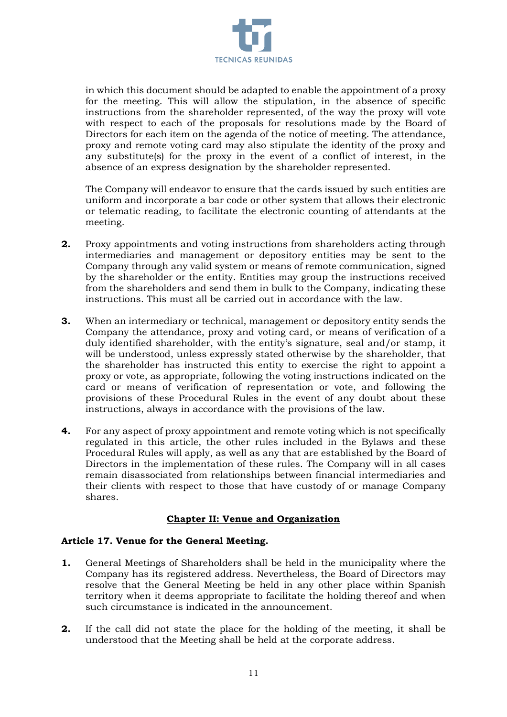

in which this document should be adapted to enable the appointment of a proxy for the meeting. This will allow the stipulation, in the absence of specific instructions from the shareholder represented, of the way the proxy will vote with respect to each of the proposals for resolutions made by the Board of Directors for each item on the agenda of the notice of meeting. The attendance, proxy and remote voting card may also stipulate the identity of the proxy and any substitute(s) for the proxy in the event of a conflict of interest, in the absence of an express designation by the shareholder represented.

The Company will endeavor to ensure that the cards issued by such entities are uniform and incorporate a bar code or other system that allows their electronic or telematic reading, to facilitate the electronic counting of attendants at the meeting.

- **2.** Proxy appointments and voting instructions from shareholders acting through intermediaries and management or depository entities may be sent to the Company through any valid system or means of remote communication, signed by the shareholder or the entity. Entities may group the instructions received from the shareholders and send them in bulk to the Company, indicating these instructions. This must all be carried out in accordance with the law.
- **3.** When an intermediary or technical, management or depository entity sends the Company the attendance, proxy and voting card, or means of verification of a duly identified shareholder, with the entity's signature, seal and/or stamp, it will be understood, unless expressly stated otherwise by the shareholder, that the shareholder has instructed this entity to exercise the right to appoint a proxy or vote, as appropriate, following the voting instructions indicated on the card or means of verification of representation or vote, and following the provisions of these Procedural Rules in the event of any doubt about these instructions, always in accordance with the provisions of the law.
- **4.** For any aspect of proxy appointment and remote voting which is not specifically regulated in this article, the other rules included in the Bylaws and these Procedural Rules will apply, as well as any that are established by the Board of Directors in the implementation of these rules. The Company will in all cases remain disassociated from relationships between financial intermediaries and their clients with respect to those that have custody of or manage Company shares.

### **Chapter II: Venue and Organization**

### **Article 17. Venue for the General Meeting.**

- **1.** General Meetings of Shareholders shall be held in the municipality where the Company has its registered address. Nevertheless, the Board of Directors may resolve that the General Meeting be held in any other place within Spanish territory when it deems appropriate to facilitate the holding thereof and when such circumstance is indicated in the announcement.
- **2.** If the call did not state the place for the holding of the meeting, it shall be understood that the Meeting shall be held at the corporate address.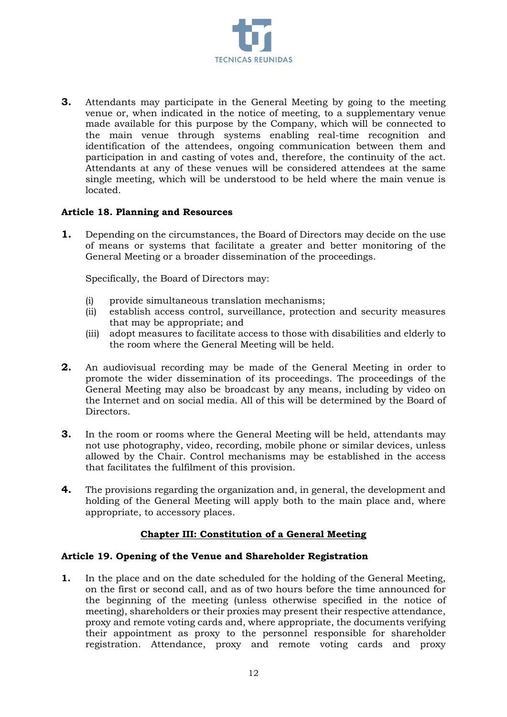

**3.** Attendants may participate in the General Meeting by going to the meeting venue or, when indicated in the notice of meeting, to a supplementary venue made available for this purpose by the Company, which will be connected to the main venue through systems enabling real-time recognition and identification of the attendees, ongoing communication between them and participation in and casting of votes and, therefore, the continuity of the act. Attendants at any of these venues will be considered attendees at the same single meeting, which will be understood to be held where the main venue is located.

### **Article 18. Planning and Resources**

**1.** Depending on the circumstances, the Board of Directors may decide on the use of means or systems that facilitate a greater and better monitoring of the General Meeting or a broader dissemination of the proceedings.

Specifically, the Board of Directors may:

- (i) provide simultaneous translation mechanisms;
- (ii) establish access control, surveillance, protection and security measures that may be appropriate; and
- (iii) adopt measures to facilitate access to those with disabilities and elderly to the room where the General Meeting will be held.
- **2.** An audiovisual recording may be made of the General Meeting in order to promote the wider dissemination of its proceedings. The proceedings of the General Meeting may also be broadcast by any means, including by video on the Internet and on social media. All of this will be determined by the Board of Directors.
- **3.** In the room or rooms where the General Meeting will be held, attendants may not use photography, video, recording, mobile phone or similar devices, unless allowed by the Chair. Control mechanisms may be established in the access that facilitates the fulfilment of this provision.
- **4.** The provisions regarding the organization and, in general, the development and holding of the General Meeting will apply both to the main place and, where appropriate, to accessory places.

#### **Chapter III: Constitution of a General Meeting**

#### **Article 19. Opening of the Venue and Shareholder Registration**

**1.** In the place and on the date scheduled for the holding of the General Meeting, on the first or second call, and as of two hours before the time announced for the beginning of the meeting (unless otherwise specified in the notice of meeting), shareholders or their proxies may present their respective attendance, proxy and remote voting cards and, where appropriate, the documents verifying their appointment as proxy to the personnel responsible for shareholder registration. Attendance, proxy and remote voting cards and proxy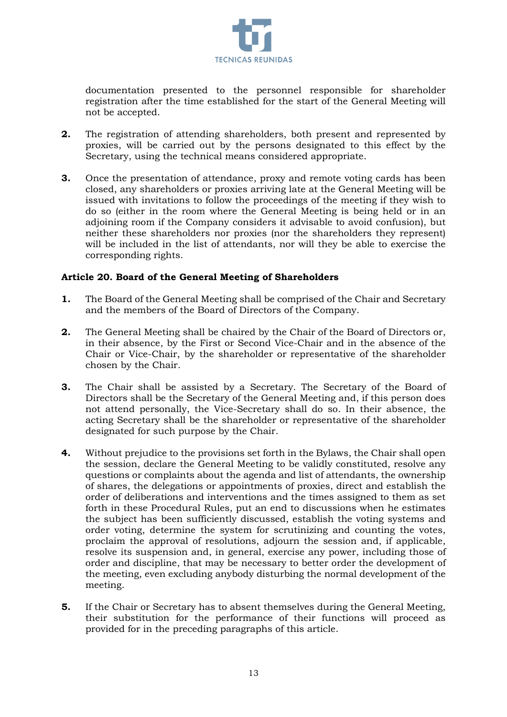

documentation presented to the personnel responsible for shareholder registration after the time established for the start of the General Meeting will not be accepted.

- **2.** The registration of attending shareholders, both present and represented by proxies, will be carried out by the persons designated to this effect by the Secretary, using the technical means considered appropriate.
- **3.** Once the presentation of attendance, proxy and remote voting cards has been closed, any shareholders or proxies arriving late at the General Meeting will be issued with invitations to follow the proceedings of the meeting if they wish to do so (either in the room where the General Meeting is being held or in an adjoining room if the Company considers it advisable to avoid confusion), but neither these shareholders nor proxies (nor the shareholders they represent) will be included in the list of attendants, nor will they be able to exercise the corresponding rights.

### **Article 20. Board of the General Meeting of Shareholders**

- **1.** The Board of the General Meeting shall be comprised of the Chair and Secretary and the members of the Board of Directors of the Company.
- **2.** The General Meeting shall be chaired by the Chair of the Board of Directors or, in their absence, by the First or Second Vice-Chair and in the absence of the Chair or Vice-Chair, by the shareholder or representative of the shareholder chosen by the Chair.
- **3.** The Chair shall be assisted by a Secretary. The Secretary of the Board of Directors shall be the Secretary of the General Meeting and, if this person does not attend personally, the Vice-Secretary shall do so. In their absence, the acting Secretary shall be the shareholder or representative of the shareholder designated for such purpose by the Chair.
- **4.** Without prejudice to the provisions set forth in the Bylaws, the Chair shall open the session, declare the General Meeting to be validly constituted, resolve any questions or complaints about the agenda and list of attendants, the ownership of shares, the delegations or appointments of proxies, direct and establish the order of deliberations and interventions and the times assigned to them as set forth in these Procedural Rules, put an end to discussions when he estimates the subject has been sufficiently discussed, establish the voting systems and order voting, determine the system for scrutinizing and counting the votes, proclaim the approval of resolutions, adjourn the session and, if applicable, resolve its suspension and, in general, exercise any power, including those of order and discipline, that may be necessary to better order the development of the meeting, even excluding anybody disturbing the normal development of the meeting.
- **5.** If the Chair or Secretary has to absent themselves during the General Meeting, their substitution for the performance of their functions will proceed as provided for in the preceding paragraphs of this article.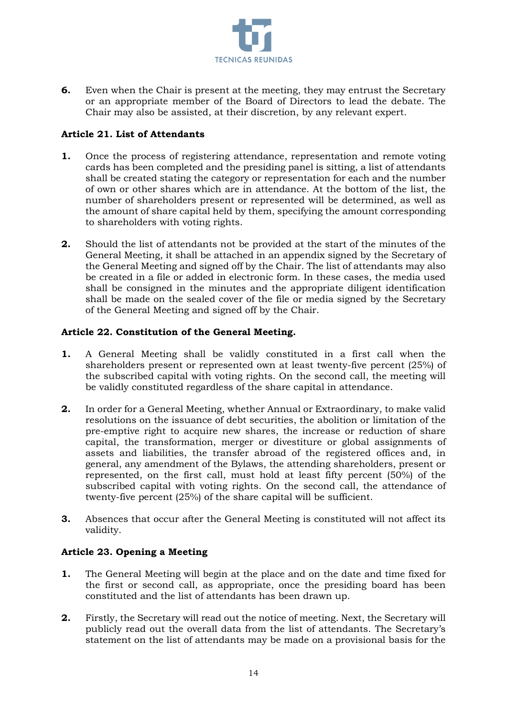

**6.** Even when the Chair is present at the meeting, they may entrust the Secretary or an appropriate member of the Board of Directors to lead the debate. The Chair may also be assisted, at their discretion, by any relevant expert.

## **Article 21. List of Attendants**

- **1.** Once the process of registering attendance, representation and remote voting cards has been completed and the presiding panel is sitting, a list of attendants shall be created stating the category or representation for each and the number of own or other shares which are in attendance. At the bottom of the list, the number of shareholders present or represented will be determined, as well as the amount of share capital held by them, specifying the amount corresponding to shareholders with voting rights.
- **2.** Should the list of attendants not be provided at the start of the minutes of the General Meeting, it shall be attached in an appendix signed by the Secretary of the General Meeting and signed off by the Chair. The list of attendants may also be created in a file or added in electronic form. In these cases, the media used shall be consigned in the minutes and the appropriate diligent identification shall be made on the sealed cover of the file or media signed by the Secretary of the General Meeting and signed off by the Chair.

### **Article 22. Constitution of the General Meeting.**

- **1.** A General Meeting shall be validly constituted in a first call when the shareholders present or represented own at least twenty-five percent (25%) of the subscribed capital with voting rights. On the second call, the meeting will be validly constituted regardless of the share capital in attendance.
- **2.** In order for a General Meeting, whether Annual or Extraordinary, to make valid resolutions on the issuance of debt securities, the abolition or limitation of the pre-emptive right to acquire new shares, the increase or reduction of share capital, the transformation, merger or divestiture or global assignments of assets and liabilities, the transfer abroad of the registered offices and, in general, any amendment of the Bylaws, the attending shareholders, present or represented, on the first call, must hold at least fifty percent (50%) of the subscribed capital with voting rights. On the second call, the attendance of twenty-five percent (25%) of the share capital will be sufficient.
- **3.** Absences that occur after the General Meeting is constituted will not affect its validity.

# **Article 23. Opening a Meeting**

- **1.** The General Meeting will begin at the place and on the date and time fixed for the first or second call, as appropriate, once the presiding board has been constituted and the list of attendants has been drawn up.
- **2.** Firstly, the Secretary will read out the notice of meeting. Next, the Secretary will publicly read out the overall data from the list of attendants. The Secretary's statement on the list of attendants may be made on a provisional basis for the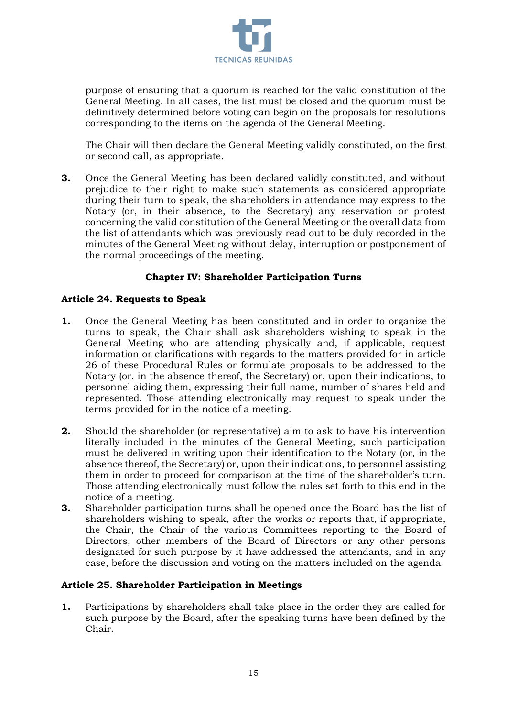

purpose of ensuring that a quorum is reached for the valid constitution of the General Meeting. In all cases, the list must be closed and the quorum must be definitively determined before voting can begin on the proposals for resolutions corresponding to the items on the agenda of the General Meeting.

The Chair will then declare the General Meeting validly constituted, on the first or second call, as appropriate.

**3.** Once the General Meeting has been declared validly constituted, and without prejudice to their right to make such statements as considered appropriate during their turn to speak, the shareholders in attendance may express to the Notary (or, in their absence, to the Secretary) any reservation or protest concerning the valid constitution of the General Meeting or the overall data from the list of attendants which was previously read out to be duly recorded in the minutes of the General Meeting without delay, interruption or postponement of the normal proceedings of the meeting.

## **Chapter IV: Shareholder Participation Turns**

### **Article 24. Requests to Speak**

- **1.** Once the General Meeting has been constituted and in order to organize the turns to speak, the Chair shall ask shareholders wishing to speak in the General Meeting who are attending physically and, if applicable, request information or clarifications with regards to the matters provided for in article 26 of these Procedural Rules or formulate proposals to be addressed to the Notary (or, in the absence thereof, the Secretary) or, upon their indications, to personnel aiding them, expressing their full name, number of shares held and represented. Those attending electronically may request to speak under the terms provided for in the notice of a meeting.
- **2.** Should the shareholder (or representative) aim to ask to have his intervention literally included in the minutes of the General Meeting, such participation must be delivered in writing upon their identification to the Notary (or, in the absence thereof, the Secretary) or, upon their indications, to personnel assisting them in order to proceed for comparison at the time of the shareholder's turn. Those attending electronically must follow the rules set forth to this end in the notice of a meeting.
- **3.** Shareholder participation turns shall be opened once the Board has the list of shareholders wishing to speak, after the works or reports that, if appropriate, the Chair, the Chair of the various Committees reporting to the Board of Directors, other members of the Board of Directors or any other persons designated for such purpose by it have addressed the attendants, and in any case, before the discussion and voting on the matters included on the agenda.

### **Article 25. Shareholder Participation in Meetings**

**1.** Participations by shareholders shall take place in the order they are called for such purpose by the Board, after the speaking turns have been defined by the Chair.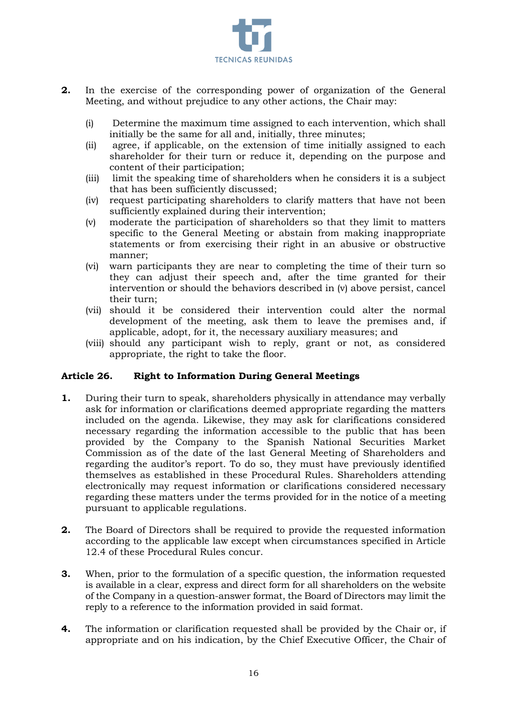

- **2.** In the exercise of the corresponding power of organization of the General Meeting, and without prejudice to any other actions, the Chair may:
	- (i) Determine the maximum time assigned to each intervention, which shall initially be the same for all and, initially, three minutes;
	- (ii) agree, if applicable, on the extension of time initially assigned to each shareholder for their turn or reduce it, depending on the purpose and content of their participation;
	- (iii) limit the speaking time of shareholders when he considers it is a subject that has been sufficiently discussed;
	- (iv) request participating shareholders to clarify matters that have not been sufficiently explained during their intervention;
	- (v) moderate the participation of shareholders so that they limit to matters specific to the General Meeting or abstain from making inappropriate statements or from exercising their right in an abusive or obstructive manner;
	- (vi) warn participants they are near to completing the time of their turn so they can adjust their speech and, after the time granted for their intervention or should the behaviors described in (v) above persist, cancel their turn;
	- (vii) should it be considered their intervention could alter the normal development of the meeting, ask them to leave the premises and, if applicable, adopt, for it, the necessary auxiliary measures; and
	- (viii) should any participant wish to reply, grant or not, as considered appropriate, the right to take the floor.

### **Article 26. Right to Information During General Meetings**

- **1.** During their turn to speak, shareholders physically in attendance may verbally ask for information or clarifications deemed appropriate regarding the matters included on the agenda. Likewise, they may ask for clarifications considered necessary regarding the information accessible to the public that has been provided by the Company to the Spanish National Securities Market Commission as of the date of the last General Meeting of Shareholders and regarding the auditor's report. To do so, they must have previously identified themselves as established in these Procedural Rules. Shareholders attending electronically may request information or clarifications considered necessary regarding these matters under the terms provided for in the notice of a meeting pursuant to applicable regulations.
- **2.** The Board of Directors shall be required to provide the requested information according to the applicable law except when circumstances specified in Article 12.4 of these Procedural Rules concur.
- **3.** When, prior to the formulation of a specific question, the information requested is available in a clear, express and direct form for all shareholders on the website of the Company in a question-answer format, the Board of Directors may limit the reply to a reference to the information provided in said format.
- **4.** The information or clarification requested shall be provided by the Chair or, if appropriate and on his indication, by the Chief Executive Officer, the Chair of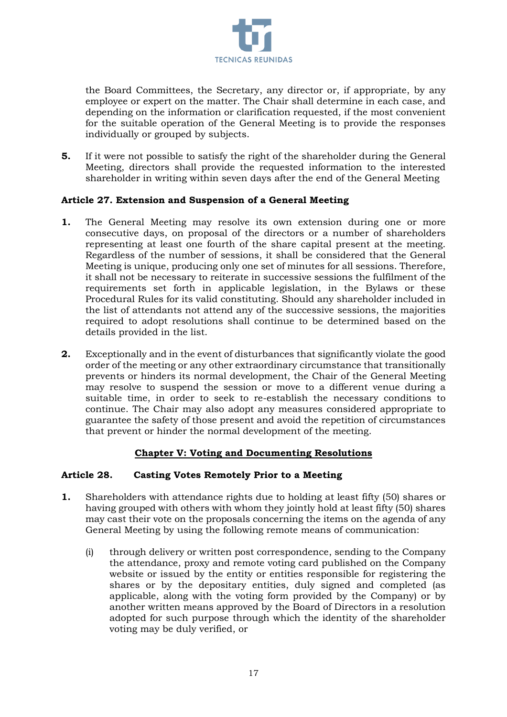

the Board Committees, the Secretary, any director or, if appropriate, by any employee or expert on the matter. The Chair shall determine in each case, and depending on the information or clarification requested, if the most convenient for the suitable operation of the General Meeting is to provide the responses individually or grouped by subjects.

**5.** If it were not possible to satisfy the right of the shareholder during the General Meeting, directors shall provide the requested information to the interested shareholder in writing within seven days after the end of the General Meeting

### **Article 27. Extension and Suspension of a General Meeting**

- **1.** The General Meeting may resolve its own extension during one or more consecutive days, on proposal of the directors or a number of shareholders representing at least one fourth of the share capital present at the meeting. Regardless of the number of sessions, it shall be considered that the General Meeting is unique, producing only one set of minutes for all sessions. Therefore, it shall not be necessary to reiterate in successive sessions the fulfilment of the requirements set forth in applicable legislation, in the Bylaws or these Procedural Rules for its valid constituting. Should any shareholder included in the list of attendants not attend any of the successive sessions, the majorities required to adopt resolutions shall continue to be determined based on the details provided in the list.
- **2.** Exceptionally and in the event of disturbances that significantly violate the good order of the meeting or any other extraordinary circumstance that transitionally prevents or hinders its normal development, the Chair of the General Meeting may resolve to suspend the session or move to a different venue during a suitable time, in order to seek to re-establish the necessary conditions to continue. The Chair may also adopt any measures considered appropriate to guarantee the safety of those present and avoid the repetition of circumstances that prevent or hinder the normal development of the meeting.

# **Chapter V: Voting and Documenting Resolutions**

### **Article 28. Casting Votes Remotely Prior to a Meeting**

- **1.** Shareholders with attendance rights due to holding at least fifty (50) shares or having grouped with others with whom they jointly hold at least fifty (50) shares may cast their vote on the proposals concerning the items on the agenda of any General Meeting by using the following remote means of communication:
	- (i) through delivery or written post correspondence, sending to the Company the attendance, proxy and remote voting card published on the Company website or issued by the entity or entities responsible for registering the shares or by the depositary entities, duly signed and completed (as applicable, along with the voting form provided by the Company) or by another written means approved by the Board of Directors in a resolution adopted for such purpose through which the identity of the shareholder voting may be duly verified, or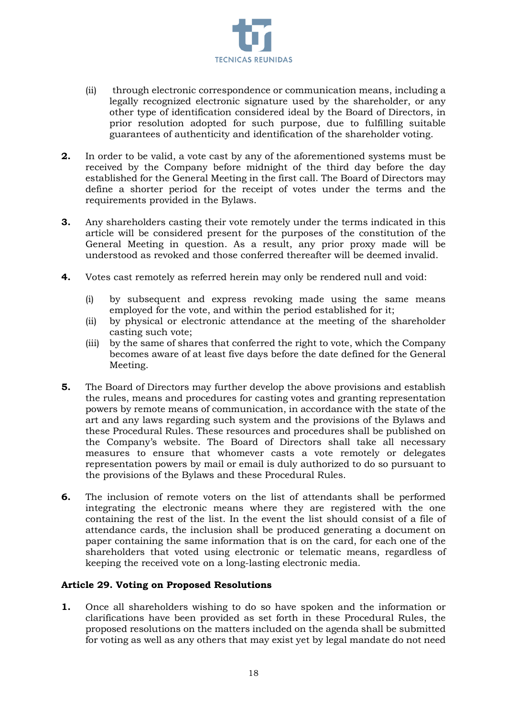

- (ii) through electronic correspondence or communication means, including a legally recognized electronic signature used by the shareholder, or any other type of identification considered ideal by the Board of Directors, in prior resolution adopted for such purpose, due to fulfilling suitable guarantees of authenticity and identification of the shareholder voting.
- **2.** In order to be valid, a vote cast by any of the aforementioned systems must be received by the Company before midnight of the third day before the day established for the General Meeting in the first call. The Board of Directors may define a shorter period for the receipt of votes under the terms and the requirements provided in the Bylaws.
- **3.** Any shareholders casting their vote remotely under the terms indicated in this article will be considered present for the purposes of the constitution of the General Meeting in question. As a result, any prior proxy made will be understood as revoked and those conferred thereafter will be deemed invalid.
- **4.** Votes cast remotely as referred herein may only be rendered null and void:
	- (i) by subsequent and express revoking made using the same means employed for the vote, and within the period established for it;
	- (ii) by physical or electronic attendance at the meeting of the shareholder casting such vote;
	- (iii) by the same of shares that conferred the right to vote, which the Company becomes aware of at least five days before the date defined for the General Meeting.
- **5.** The Board of Directors may further develop the above provisions and establish the rules, means and procedures for casting votes and granting representation powers by remote means of communication, in accordance with the state of the art and any laws regarding such system and the provisions of the Bylaws and these Procedural Rules. These resources and procedures shall be published on the Company's website. The Board of Directors shall take all necessary measures to ensure that whomever casts a vote remotely or delegates representation powers by mail or email is duly authorized to do so pursuant to the provisions of the Bylaws and these Procedural Rules.
- **6.** The inclusion of remote voters on the list of attendants shall be performed integrating the electronic means where they are registered with the one containing the rest of the list. In the event the list should consist of a file of attendance cards, the inclusion shall be produced generating a document on paper containing the same information that is on the card, for each one of the shareholders that voted using electronic or telematic means, regardless of keeping the received vote on a long-lasting electronic media.

### **Article 29. Voting on Proposed Resolutions**

**1.** Once all shareholders wishing to do so have spoken and the information or clarifications have been provided as set forth in these Procedural Rules, the proposed resolutions on the matters included on the agenda shall be submitted for voting as well as any others that may exist yet by legal mandate do not need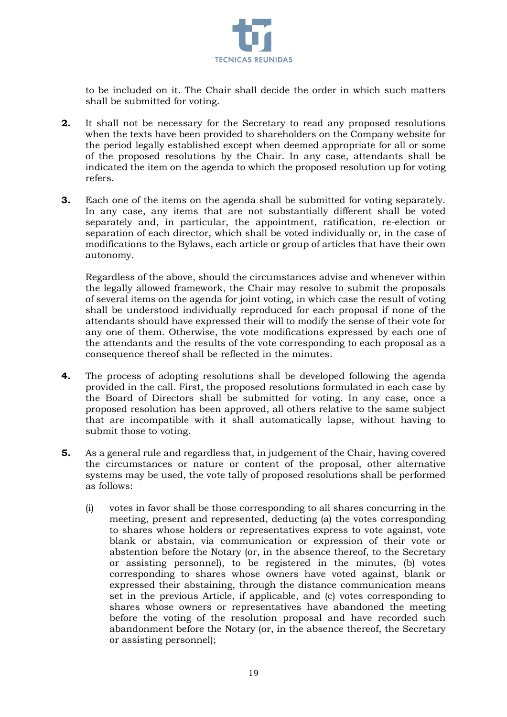

to be included on it. The Chair shall decide the order in which such matters shall be submitted for voting.

- **2.** It shall not be necessary for the Secretary to read any proposed resolutions when the texts have been provided to shareholders on the Company website for the period legally established except when deemed appropriate for all or some of the proposed resolutions by the Chair. In any case, attendants shall be indicated the item on the agenda to which the proposed resolution up for voting refers.
- **3.** Each one of the items on the agenda shall be submitted for voting separately. In any case, any items that are not substantially different shall be voted separately and, in particular, the appointment, ratification, re-election or separation of each director, which shall be voted individually or, in the case of modifications to the Bylaws, each article or group of articles that have their own autonomy.

Regardless of the above, should the circumstances advise and whenever within the legally allowed framework, the Chair may resolve to submit the proposals of several items on the agenda for joint voting, in which case the result of voting shall be understood individually reproduced for each proposal if none of the attendants should have expressed their will to modify the sense of their vote for any one of them. Otherwise, the vote modifications expressed by each one of the attendants and the results of the vote corresponding to each proposal as a consequence thereof shall be reflected in the minutes.

- **4.** The process of adopting resolutions shall be developed following the agenda provided in the call. First, the proposed resolutions formulated in each case by the Board of Directors shall be submitted for voting. In any case, once a proposed resolution has been approved, all others relative to the same subject that are incompatible with it shall automatically lapse, without having to submit those to voting.
- **5.** As a general rule and regardless that, in judgement of the Chair, having covered the circumstances or nature or content of the proposal, other alternative systems may be used, the vote tally of proposed resolutions shall be performed as follows:
	- (i) votes in favor shall be those corresponding to all shares concurring in the meeting, present and represented, deducting (a) the votes corresponding to shares whose holders or representatives express to vote against, vote blank or abstain, via communication or expression of their vote or abstention before the Notary (or, in the absence thereof, to the Secretary or assisting personnel), to be registered in the minutes, (b) votes corresponding to shares whose owners have voted against, blank or expressed their abstaining, through the distance communication means set in the previous Article, if applicable, and (c) votes corresponding to shares whose owners or representatives have abandoned the meeting before the voting of the resolution proposal and have recorded such abandonment before the Notary (or, in the absence thereof, the Secretary or assisting personnel);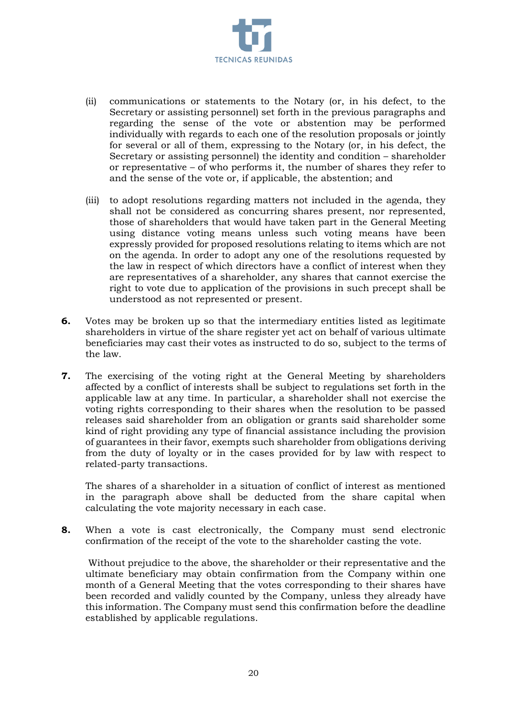

- (ii) communications or statements to the Notary (or, in his defect, to the Secretary or assisting personnel) set forth in the previous paragraphs and regarding the sense of the vote or abstention may be performed individually with regards to each one of the resolution proposals or jointly for several or all of them, expressing to the Notary (or, in his defect, the Secretary or assisting personnel) the identity and condition – shareholder or representative – of who performs it, the number of shares they refer to and the sense of the vote or, if applicable, the abstention; and
- (iii) to adopt resolutions regarding matters not included in the agenda, they shall not be considered as concurring shares present, nor represented, those of shareholders that would have taken part in the General Meeting using distance voting means unless such voting means have been expressly provided for proposed resolutions relating to items which are not on the agenda. In order to adopt any one of the resolutions requested by the law in respect of which directors have a conflict of interest when they are representatives of a shareholder, any shares that cannot exercise the right to vote due to application of the provisions in such precept shall be understood as not represented or present.
- **6.** Votes may be broken up so that the intermediary entities listed as legitimate shareholders in virtue of the share register yet act on behalf of various ultimate beneficiaries may cast their votes as instructed to do so, subject to the terms of the law.
- **7.** The exercising of the voting right at the General Meeting by shareholders affected by a conflict of interests shall be subject to regulations set forth in the applicable law at any time. In particular, a shareholder shall not exercise the voting rights corresponding to their shares when the resolution to be passed releases said shareholder from an obligation or grants said shareholder some kind of right providing any type of financial assistance including the provision of guarantees in their favor, exempts such shareholder from obligations deriving from the duty of loyalty or in the cases provided for by law with respect to related-party transactions.

The shares of a shareholder in a situation of conflict of interest as mentioned in the paragraph above shall be deducted from the share capital when calculating the vote majority necessary in each case.

**8.** When a vote is cast electronically, the Company must send electronic confirmation of the receipt of the vote to the shareholder casting the vote.

Without prejudice to the above, the shareholder or their representative and the ultimate beneficiary may obtain confirmation from the Company within one month of a General Meeting that the votes corresponding to their shares have been recorded and validly counted by the Company, unless they already have this information. The Company must send this confirmation before the deadline established by applicable regulations.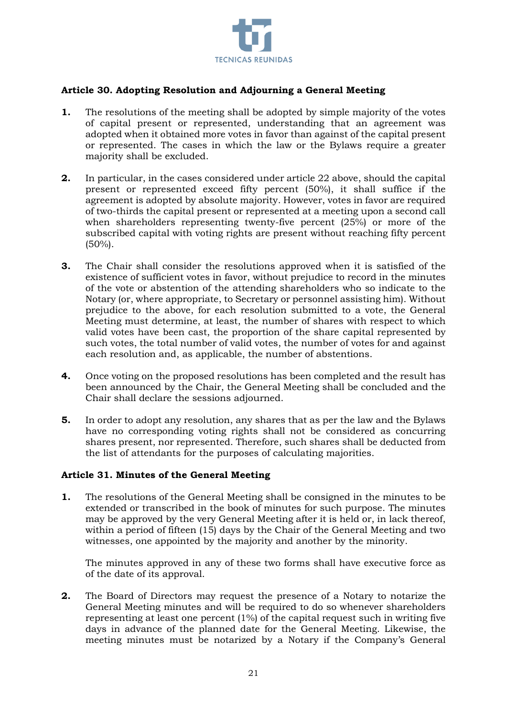

## **Article 30. Adopting Resolution and Adjourning a General Meeting**

- **1.** The resolutions of the meeting shall be adopted by simple majority of the votes of capital present or represented, understanding that an agreement was adopted when it obtained more votes in favor than against of the capital present or represented. The cases in which the law or the Bylaws require a greater majority shall be excluded.
- **2.** In particular, in the cases considered under article 22 above, should the capital present or represented exceed fifty percent (50%), it shall suffice if the agreement is adopted by absolute majority. However, votes in favor are required of two-thirds the capital present or represented at a meeting upon a second call when shareholders representing twenty-five percent (25%) or more of the subscribed capital with voting rights are present without reaching fifty percent (50%).
- **3.** The Chair shall consider the resolutions approved when it is satisfied of the existence of sufficient votes in favor, without prejudice to record in the minutes of the vote or abstention of the attending shareholders who so indicate to the Notary (or, where appropriate, to Secretary or personnel assisting him). Without prejudice to the above, for each resolution submitted to a vote, the General Meeting must determine, at least, the number of shares with respect to which valid votes have been cast, the proportion of the share capital represented by such votes, the total number of valid votes, the number of votes for and against each resolution and, as applicable, the number of abstentions.
- **4.** Once voting on the proposed resolutions has been completed and the result has been announced by the Chair, the General Meeting shall be concluded and the Chair shall declare the sessions adjourned.
- **5.** In order to adopt any resolution, any shares that as per the law and the Bylaws have no corresponding voting rights shall not be considered as concurring shares present, nor represented. Therefore, such shares shall be deducted from the list of attendants for the purposes of calculating majorities.

### **Article 31. Minutes of the General Meeting**

**1.** The resolutions of the General Meeting shall be consigned in the minutes to be extended or transcribed in the book of minutes for such purpose. The minutes may be approved by the very General Meeting after it is held or, in lack thereof, within a period of fifteen (15) days by the Chair of the General Meeting and two witnesses, one appointed by the majority and another by the minority.

The minutes approved in any of these two forms shall have executive force as of the date of its approval.

**2.** The Board of Directors may request the presence of a Notary to notarize the General Meeting minutes and will be required to do so whenever shareholders representing at least one percent (1%) of the capital request such in writing five days in advance of the planned date for the General Meeting. Likewise, the meeting minutes must be notarized by a Notary if the Company's General